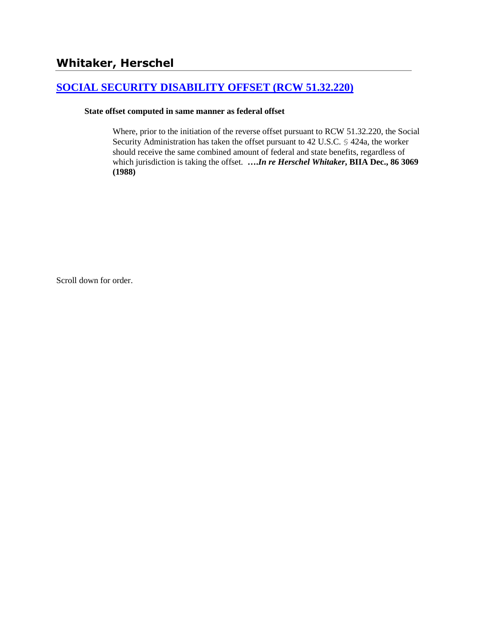# **[SOCIAL SECURITY DISABILITY OFFSET \(RCW 51.32.220\)](http://www.biia.wa.gov/SDSubjectIndex.html#SOCIAL_SECURITY_DISABILITY_OFFSET)**

### **State offset computed in same manner as federal offset**

Where, prior to the initiation of the reverse offset pursuant to RCW 51.32.220, the Social Security Administration has taken the offset pursuant to 42 U.S.C. § 424a, the worker should receive the same combined amount of federal and state benefits, regardless of which jurisdiction is taking the offset. **….***In re Herschel Whitaker***, BIIA Dec., 86 3069 (1988)** 

Scroll down for order.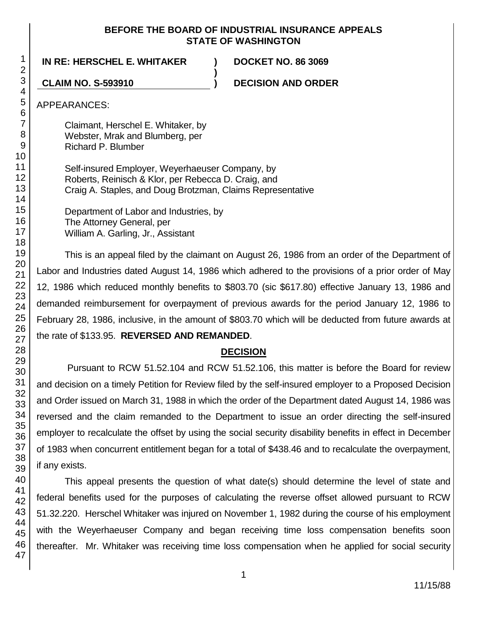### **BEFORE THE BOARD OF INDUSTRIAL INSURANCE APPEALS STATE OF WASHINGTON**

**)**

**IN RE: HERSCHEL E. WHITAKER ) DOCKET NO. 86 3069**

**CLAIM NO. S-593910 ) DECISION AND ORDER**

APPEARANCES:

Claimant, Herschel E. Whitaker, by Webster, Mrak and Blumberg, per Richard P. Blumber

Self-insured Employer, Weyerhaeuser Company, by Roberts, Reinisch & Klor, per Rebecca D. Craig, and Craig A. Staples, and Doug Brotzman, Claims Representative

Department of Labor and Industries, by The Attorney General, per William A. Garling, Jr., Assistant

This is an appeal filed by the claimant on August 26, 1986 from an order of the Department of Labor and Industries dated August 14, 1986 which adhered to the provisions of a prior order of May 12, 1986 which reduced monthly benefits to \$803.70 (sic \$617.80) effective January 13, 1986 and demanded reimbursement for overpayment of previous awards for the period January 12, 1986 to February 28, 1986, inclusive, in the amount of \$803.70 which will be deducted from future awards at the rate of \$133.95. **REVERSED AND REMANDED**.

# **DECISION**

Pursuant to RCW 51.52.104 and RCW 51.52.106, this matter is before the Board for review and decision on a timely Petition for Review filed by the self-insured employer to a Proposed Decision and Order issued on March 31, 1988 in which the order of the Department dated August 14, 1986 was reversed and the claim remanded to the Department to issue an order directing the self-insured employer to recalculate the offset by using the social security disability benefits in effect in December of 1983 when concurrent entitlement began for a total of \$438.46 and to recalculate the overpayment, if any exists.

This appeal presents the question of what date(s) should determine the level of state and federal benefits used for the purposes of calculating the reverse offset allowed pursuant to RCW 51.32.220. Herschel Whitaker was injured on November 1, 1982 during the course of his employment with the Weyerhaeuser Company and began receiving time loss compensation benefits soon thereafter. Mr. Whitaker was receiving time loss compensation when he applied for social security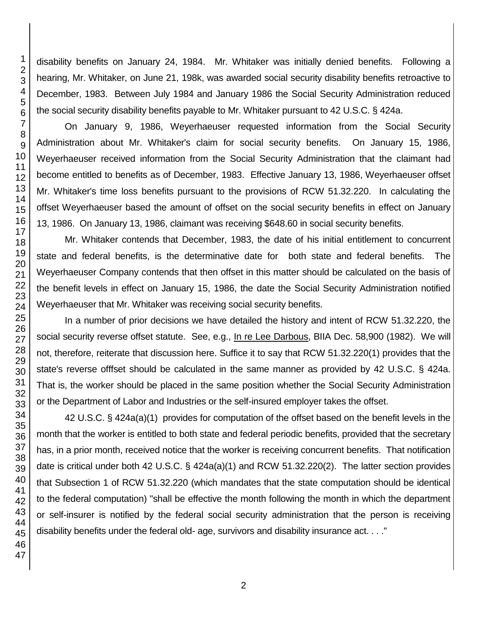disability benefits on January 24, 1984. Mr. Whitaker was initially denied benefits. Following a hearing, Mr. Whitaker, on June 21, 198k, was awarded social security disability benefits retroactive to December, 1983. Between July 1984 and January 1986 the Social Security Administration reduced the social security disability benefits payable to Mr. Whitaker pursuant to 42 U.S.C. § 424a.

On January 9, 1986, Weyerhaeuser requested information from the Social Security Administration about Mr. Whitaker's claim for social security benefits. On January 15, 1986, Weyerhaeuser received information from the Social Security Administration that the claimant had become entitled to benefits as of December, 1983. Effective January 13, 1986, Weyerhaeuser offset Mr. Whitaker's time loss benefits pursuant to the provisions of RCW 51.32.220. In calculating the offset Weyerhaeuser based the amount of offset on the social security benefits in effect on January 13, 1986. On January 13, 1986, claimant was receiving \$648.60 in social security benefits.

Mr. Whitaker contends that December, 1983, the date of his initial entitlement to concurrent state and federal benefits, is the determinative date for both state and federal benefits. The Weyerhaeuser Company contends that then offset in this matter should be calculated on the basis of the benefit levels in effect on January 15, 1986, the date the Social Security Administration notified Weyerhaeuser that Mr. Whitaker was receiving social security benefits.

In a number of prior decisions we have detailed the history and intent of RCW 51.32.220, the social security reverse offset statute. See, e.g., In re Lee Darbous, BIIA Dec. 58,900 (1982). We will not, therefore, reiterate that discussion here. Suffice it to say that RCW 51.32.220(1) provides that the state's reverse offfset should be calculated in the same manner as provided by 42 U.S.C. § 424a. That is, the worker should be placed in the same position whether the Social Security Administration or the Department of Labor and Industries or the self-insured employer takes the offset.

42 U.S.C. § 424a(a)(1) provides for computation of the offset based on the benefit levels in the month that the worker is entitled to both state and federal periodic benefits, provided that the secretary has, in a prior month, received notice that the worker is receiving concurrent benefits. That notification date is critical under both 42 U.S.C. § 424a(a)(1) and RCW 51.32.220(2). The latter section provides that Subsection 1 of RCW 51.32.220 (which mandates that the state computation should be identical to the federal computation) "shall be effective the month following the month in which the department or self-insurer is notified by the federal social security administration that the person is receiving disability benefits under the federal old- age, survivors and disability insurance act. . . ."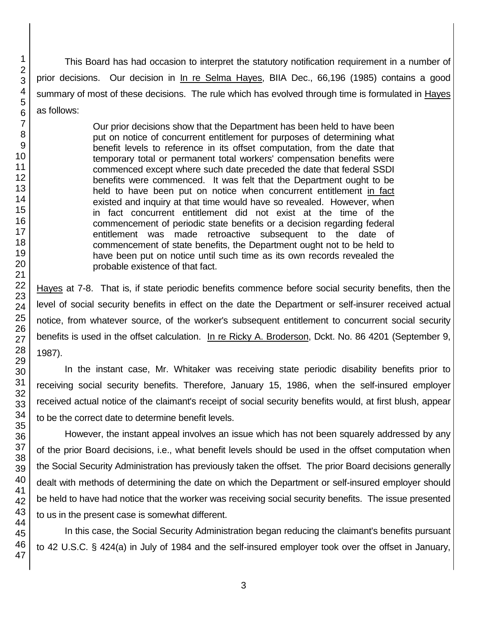This Board has had occasion to interpret the statutory notification requirement in a number of prior decisions. Our decision in In re Selma Hayes, BIIA Dec., 66,196 (1985) contains a good summary of most of these decisions. The rule which has evolved through time is formulated in Hayes as follows:

> Our prior decisions show that the Department has been held to have been put on notice of concurrent entitlement for purposes of determining what benefit levels to reference in its offset computation, from the date that temporary total or permanent total workers' compensation benefits were commenced except where such date preceded the date that federal SSDI benefits were commenced. It was felt that the Department ought to be held to have been put on notice when concurrent entitlement in fact existed and inquiry at that time would have so revealed. However, when in fact concurrent entitlement did not exist at the time of the commencement of periodic state benefits or a decision regarding federal entitlement was made retroactive subsequent to the date of commencement of state benefits, the Department ought not to be held to have been put on notice until such time as its own records revealed the probable existence of that fact.

Hayes at 7-8. That is, if state periodic benefits commence before social security benefits, then the level of social security benefits in effect on the date the Department or self-insurer received actual notice, from whatever source, of the worker's subsequent entitlement to concurrent social security benefits is used in the offset calculation. In re Ricky A. Broderson, Dckt. No. 86 4201 (September 9, 1987).

In the instant case, Mr. Whitaker was receiving state periodic disability benefits prior to receiving social security benefits. Therefore, January 15, 1986, when the self-insured employer received actual notice of the claimant's receipt of social security benefits would, at first blush, appear to be the correct date to determine benefit levels.

However, the instant appeal involves an issue which has not been squarely addressed by any of the prior Board decisions, i.e., what benefit levels should be used in the offset computation when the Social Security Administration has previously taken the offset. The prior Board decisions generally dealt with methods of determining the date on which the Department or self-insured employer should be held to have had notice that the worker was receiving social security benefits. The issue presented to us in the present case is somewhat different.

In this case, the Social Security Administration began reducing the claimant's benefits pursuant to 42 U.S.C. § 424(a) in July of 1984 and the self-insured employer took over the offset in January,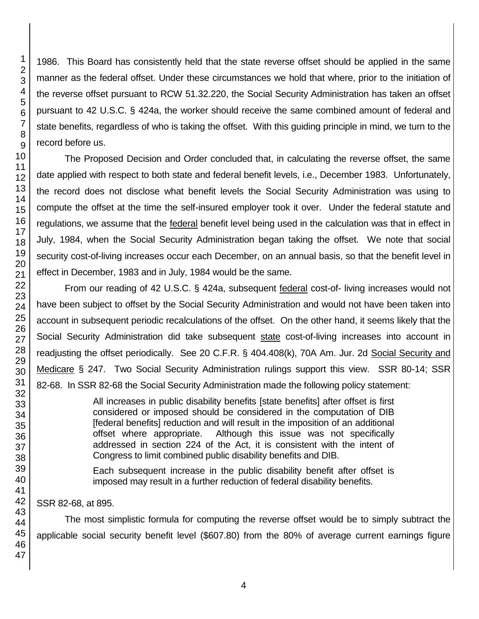1986. This Board has consistently held that the state reverse offset should be applied in the same manner as the federal offset. Under these circumstances we hold that where, prior to the initiation of the reverse offset pursuant to RCW 51.32.220, the Social Security Administration has taken an offset pursuant to 42 U.S.C. § 424a, the worker should receive the same combined amount of federal and state benefits, regardless of who is taking the offset. With this guiding principle in mind, we turn to the record before us.

The Proposed Decision and Order concluded that, in calculating the reverse offset, the same date applied with respect to both state and federal benefit levels, i.e., December 1983. Unfortunately, the record does not disclose what benefit levels the Social Security Administration was using to compute the offset at the time the self-insured employer took it over. Under the federal statute and regulations, we assume that the federal benefit level being used in the calculation was that in effect in July, 1984, when the Social Security Administration began taking the offset. We note that social security cost-of-living increases occur each December, on an annual basis, so that the benefit level in effect in December, 1983 and in July, 1984 would be the same.

From our reading of 42 U.S.C. § 424a, subsequent federal cost-of- living increases would not have been subject to offset by the Social Security Administration and would not have been taken into account in subsequent periodic recalculations of the offset. On the other hand, it seems likely that the Social Security Administration did take subsequent state cost-of-living increases into account in readjusting the offset periodically. See 20 C.F.R. § 404.408(k), 70A Am. Jur. 2d Social Security and Medicare § 247. Two Social Security Administration rulings support this view. SSR 80-14; SSR 82-68. In SSR 82-68 the Social Security Administration made the following policy statement:

> All increases in public disability benefits [state benefits] after offset is first considered or imposed should be considered in the computation of DIB [federal benefits] reduction and will result in the imposition of an additional offset where appropriate. Although this issue was not specifically addressed in section 224 of the Act, it is consistent with the intent of Congress to limit combined public disability benefits and DIB.

Each subsequent increase in the public disability benefit after offset is imposed may result in a further reduction of federal disability benefits.

SSR 82-68, at 895.

The most simplistic formula for computing the reverse offset would be to simply subtract the applicable social security benefit level (\$607.80) from the 80% of average current earnings figure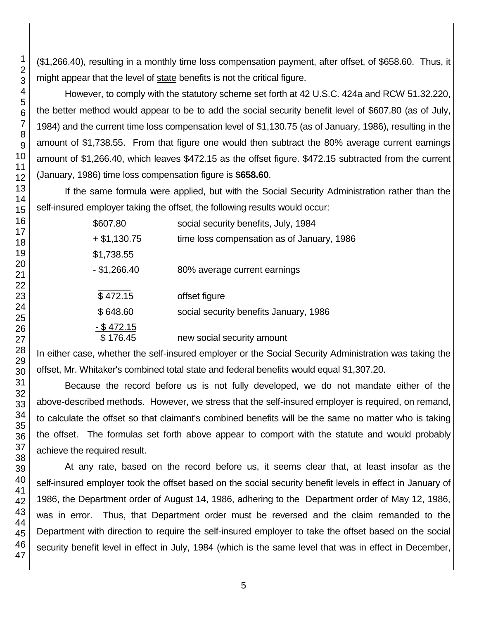(\$1,266.40), resulting in a monthly time loss compensation payment, after offset, of \$658.60. Thus, it might appear that the level of state benefits is not the critical figure.

However, to comply with the statutory scheme set forth at 42 U.S.C. 424a and RCW 51.32.220, the better method would appear to be to add the social security benefit level of \$607.80 (as of July, 1984) and the current time loss compensation level of \$1,130.75 (as of January, 1986), resulting in the amount of \$1,738.55. From that figure one would then subtract the 80% average current earnings amount of \$1,266.40, which leaves \$472.15 as the offset figure. \$472.15 subtracted from the current (January, 1986) time loss compensation figure is **\$658.60**.

If the same formula were applied, but with the Social Security Administration rather than the self-insured employer taking the offset, the following results would occur:

| \$607.80       | social security benefits, July, 1984       |
|----------------|--------------------------------------------|
| $+ $1,130.75$  | time loss compensation as of January, 1986 |
| \$1,738.55     |                                            |
| $-$ \$1,266.40 | 80% average current earnings               |
|                |                                            |
| \$472.15       | offset figure                              |
| \$648.60       | social security benefits January, 1986     |
| $-$ \$472.15   |                                            |
| \$176.45       | new social security amount                 |

In either case, whether the self-insured employer or the Social Security Administration was taking the offset, Mr. Whitaker's combined total state and federal benefits would equal \$1,307.20.

Because the record before us is not fully developed, we do not mandate either of the above-described methods. However, we stress that the self-insured employer is required, on remand, to calculate the offset so that claimant's combined benefits will be the same no matter who is taking the offset. The formulas set forth above appear to comport with the statute and would probably achieve the required result.

At any rate, based on the record before us, it seems clear that, at least insofar as the self-insured employer took the offset based on the social security benefit levels in effect in January of 1986, the Department order of August 14, 1986, adhering to the Department order of May 12, 1986, was in error. Thus, that Department order must be reversed and the claim remanded to the Department with direction to require the self-insured employer to take the offset based on the social security benefit level in effect in July, 1984 (which is the same level that was in effect in December,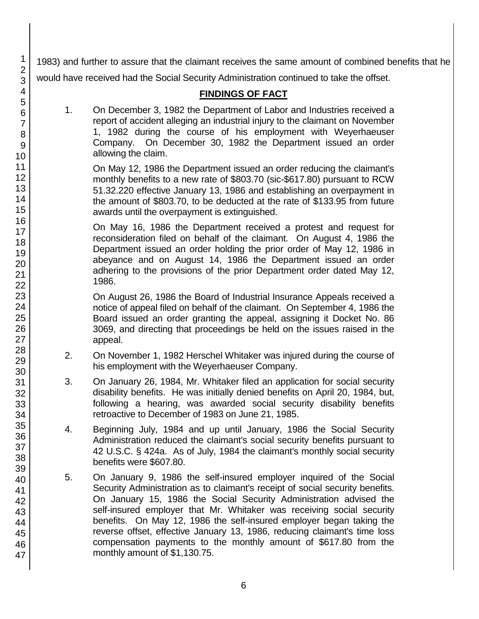1983) and further to assure that the claimant receives the same amount of combined benefits that he would have received had the Social Security Administration continued to take the offset.

# **FINDINGS OF FACT**

1. On December 3, 1982 the Department of Labor and Industries received a report of accident alleging an industrial injury to the claimant on November 1, 1982 during the course of his employment with Weyerhaeuser Company. On December 30, 1982 the Department issued an order allowing the claim.

On May 12, 1986 the Department issued an order reducing the claimant's monthly benefits to a new rate of \$803.70 (sic-\$617.80) pursuant to RCW 51.32.220 effective January 13, 1986 and establishing an overpayment in the amount of \$803.70, to be deducted at the rate of \$133.95 from future awards until the overpayment is extinguished.

On May 16, 1986 the Department received a protest and request for reconsideration filed on behalf of the claimant. On August 4, 1986 the Department issued an order holding the prior order of May 12, 1986 in abeyance and on August 14, 1986 the Department issued an order adhering to the provisions of the prior Department order dated May 12, 1986.

On August 26, 1986 the Board of Industrial Insurance Appeals received a notice of appeal filed on behalf of the claimant. On September 4, 1986 the Board issued an order granting the appeal, assigning it Docket No. 86 3069, and directing that proceedings be held on the issues raised in the appeal.

- 2. On November 1, 1982 Herschel Whitaker was injured during the course of his employment with the Weyerhaeuser Company.
- 3. On January 26, 1984, Mr. Whitaker filed an application for social security disability benefits. He was initially denied benefits on April 20, 1984, but, following a hearing, was awarded social security disability benefits retroactive to December of 1983 on June 21, 1985.
- 4. Beginning July, 1984 and up until January, 1986 the Social Security Administration reduced the claimant's social security benefits pursuant to 42 U.S.C. § 424a. As of July, 1984 the claimant's monthly social security benefits were \$607.80.
- 5. On January 9, 1986 the self-insured employer inquired of the Social Security Administration as to claimant's receipt of social security benefits. On January 15, 1986 the Social Security Administration advised the self-insured employer that Mr. Whitaker was receiving social security benefits. On May 12, 1986 the self-insured employer began taking the reverse offset, effective January 13, 1986, reducing claimant's time loss compensation payments to the monthly amount of \$617.80 from the monthly amount of \$1,130.75.